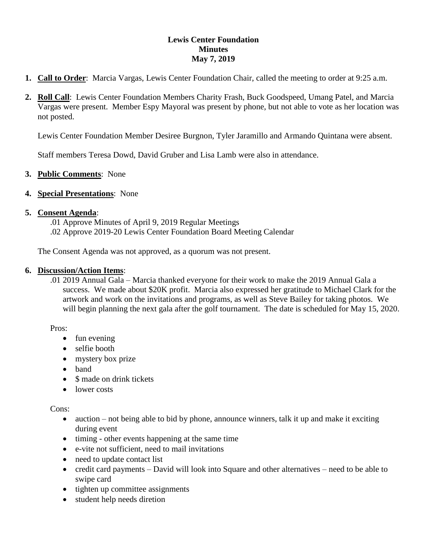## **Lewis Center Foundation Minutes May 7, 2019**

- **1. Call to Order**: Marcia Vargas, Lewis Center Foundation Chair, called the meeting to order at 9:25 a.m.
- **2. Roll Call**: Lewis Center Foundation Members Charity Frash, Buck Goodspeed, Umang Patel, and Marcia Vargas were present. Member Espy Mayoral was present by phone, but not able to vote as her location was not posted.

Lewis Center Foundation Member Desiree Burgnon, Tyler Jaramillo and Armando Quintana were absent.

Staff members Teresa Dowd, David Gruber and Lisa Lamb were also in attendance.

# **3. Public Comments**: None

### **4. Special Presentations**: None

### **5. Consent Agenda**:

.01 Approve Minutes of April 9, 2019 Regular Meetings .02 Approve 2019-20 Lewis Center Foundation Board Meeting Calendar

The Consent Agenda was not approved, as a quorum was not present.

### **6. Discussion/Action Items**:

.01 2019 Annual Gala – Marcia thanked everyone for their work to make the 2019 Annual Gala a success. We made about \$20K profit. Marcia also expressed her gratitude to Michael Clark for the artwork and work on the invitations and programs, as well as Steve Bailey for taking photos. We will begin planning the next gala after the golf tournament. The date is scheduled for May 15, 2020.

Pros:

- fun evening
- selfie booth
- mystery box prize
- band
- \$ made on drink tickets
- lower costs

Cons:

- auction not being able to bid by phone, announce winners, talk it up and make it exciting during event
- timing other events happening at the same time
- e-vite not sufficient, need to mail invitations
- need to update contact list
- credit card payments David will look into Square and other alternatives need to be able to swipe card
- tighten up committee assignments
- student help needs diretion